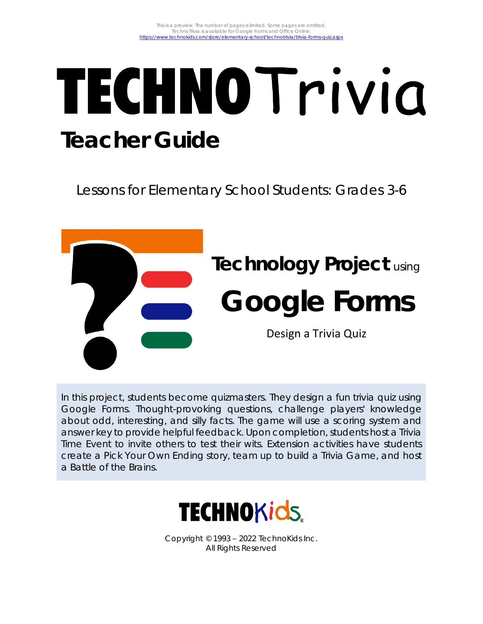# TECHNO Trivia **Teacher Guide**

Lessons for Elementary School Students: Grades 3-6



In this project, students become quizmasters. They design a fun trivia quiz using Google Forms. Thought-provoking questions, challenge players' knowledge about odd, interesting, and silly facts. The game will use a scoring system and answer key to provide helpful feedback. Upon completion, students host a Trivia Time Event to invite others to test their wits. Extension activities have students create a Pick Your Own Ending story, team up to build a Trivia Game, and host a Battle of the Brains.



Copyright © 1993 – 2022 TechnoKids Inc. All Rights Reserved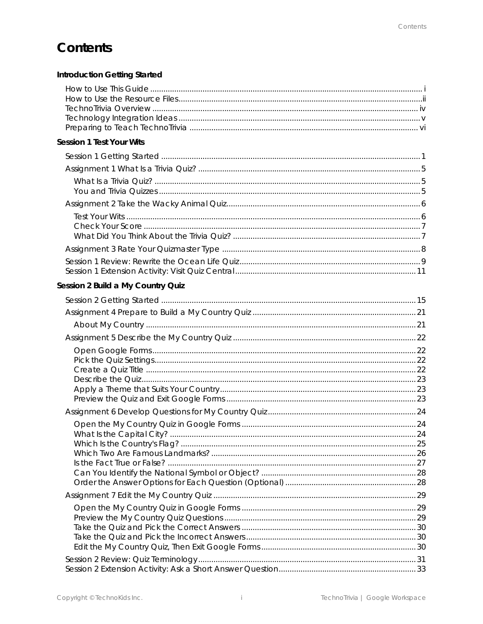# Contents

| Introduction Getting Started      |  |
|-----------------------------------|--|
|                                   |  |
| Session 1 Test Your Wits          |  |
|                                   |  |
|                                   |  |
|                                   |  |
| Session 2 Build a My Country Quiz |  |
|                                   |  |
|                                   |  |
|                                   |  |
|                                   |  |
|                                   |  |
|                                   |  |
|                                   |  |
|                                   |  |
|                                   |  |
|                                   |  |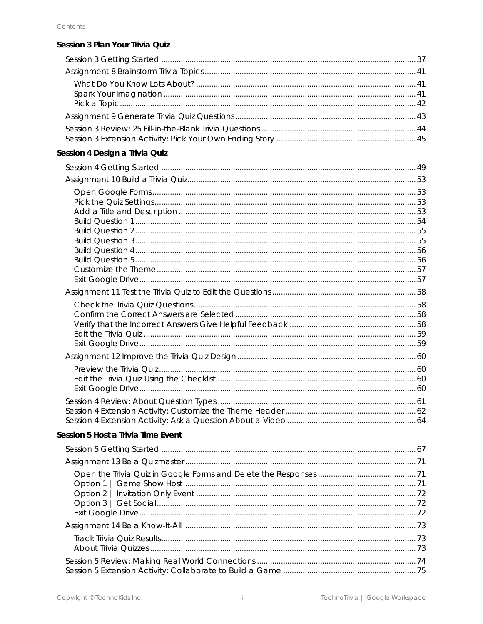| Session 3 Plan Your Trivia Quiz    |  |
|------------------------------------|--|
|                                    |  |
|                                    |  |
|                                    |  |
|                                    |  |
|                                    |  |
|                                    |  |
|                                    |  |
| Session 4 Design a Trivia Quiz     |  |
|                                    |  |
|                                    |  |
|                                    |  |
|                                    |  |
|                                    |  |
|                                    |  |
|                                    |  |
|                                    |  |
|                                    |  |
|                                    |  |
|                                    |  |
|                                    |  |
|                                    |  |
|                                    |  |
|                                    |  |
|                                    |  |
|                                    |  |
|                                    |  |
|                                    |  |
|                                    |  |
|                                    |  |
|                                    |  |
| Session 5 Host a Trivia Time Event |  |
|                                    |  |
|                                    |  |
|                                    |  |
|                                    |  |
| Option 2                           |  |
|                                    |  |
|                                    |  |
|                                    |  |
|                                    |  |
|                                    |  |
|                                    |  |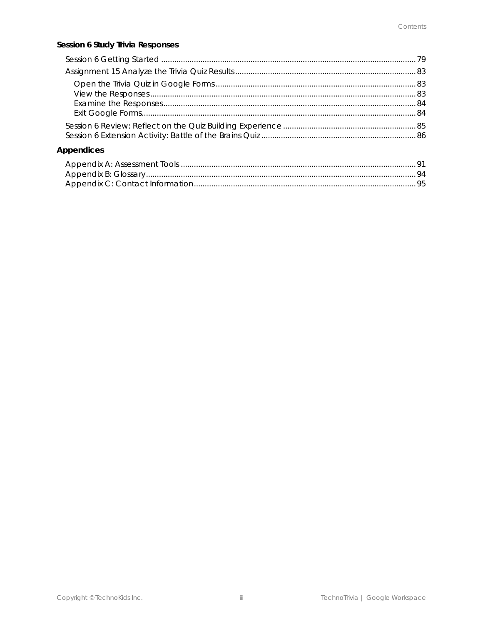#### Session 6 Study Trivia Responses

| Appendices |  |
|------------|--|
|            |  |
|            |  |
|            |  |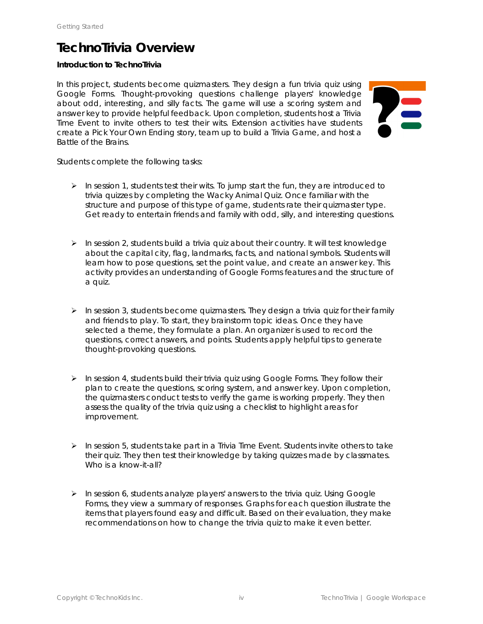#### **TechnoTrivia Overview**

#### **Introduction to TechnoTrivia**

In this project, students become quizmasters. They design a fun trivia quiz using Google Forms. Thought-provoking questions challenge players' knowledge about odd, interesting, and silly facts. The game will use a scoring system and answer key to provide helpful feedback. Upon completion, students host a Trivia Time Event to invite others to test their wits. Extension activities have students create a Pick Your Own Ending story, team up to build a Trivia Game, and host a Battle of the Brains.

Students complete the following tasks:

- $\triangleright$  In session 1, students test their wits. To jump start the fun, they are introduced to trivia quizzes by completing the Wacky Animal Quiz. Once familiar with the structure and purpose of this type of game, students rate their quizmaster type. Get ready to entertain friends and family with odd, silly, and interesting questions.
- $\triangleright$  In session 2, students build a trivia quiz about their country. It will test knowledge about the capital city, flag, landmarks, facts, and national symbols. Students will learn how to pose questions, set the point value, and create an answer key. This activity provides an understanding of Google Forms features and the structure of a quiz.
- $\triangleright$  In session 3, students become quizmasters. They design a trivia quiz for their family and friends to play. To start, they brainstorm topic ideas. Once they have selected a theme, they formulate a plan. An organizer is used to record the questions, correct answers, and points. Students apply helpful tips to generate thought-provoking questions.
- $\triangleright$  In session 4, students build their trivia quiz using Google Forms. They follow their plan to create the questions, scoring system, and answer key. Upon completion, the quizmasters conduct tests to verify the game is working properly. They then assess the quality of the trivia quiz using a checklist to highlight areas for improvement.
- ➢ In session 5, students take part in a Trivia Time Event. Students invite others to take their quiz. They then test their knowledge by taking quizzes made by classmates. Who is a know-it-all?
- ➢ In session 6, students analyze players' answers to the trivia quiz. Using Google Forms, they view a summary of responses. Graphs for each question illustrate the items that players found easy and difficult. Based on their evaluation, they make recommendations on how to change the trivia quiz to make it even better.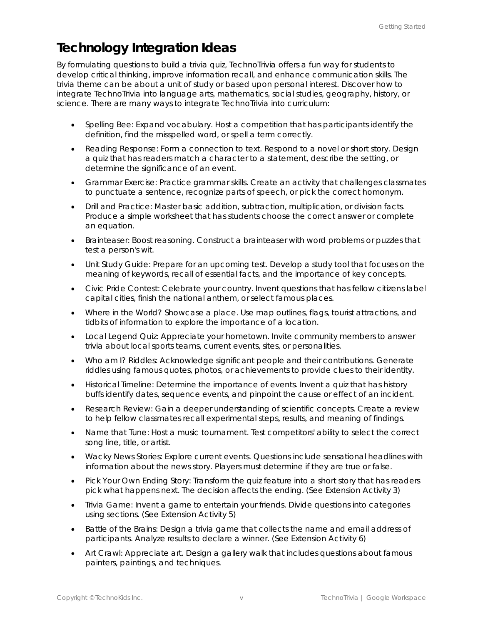#### **Technology Integration Ideas**

By formulating questions to build a trivia quiz, TechnoTrivia offers a fun way for students to develop critical thinking, improve information recall, and enhance communication skills. The trivia theme can be about a unit of study or based upon personal interest. Discover how to integrate TechnoTrivia into language arts, mathematics, social studies, geography, history, or science. There are many ways to integrate TechnoTrivia into curriculum:

- *Spelling Bee*: Expand vocabulary. Host a competition that has participants identify the definition, find the misspelled word, or spell a term correctly.
- *Reading Response*: Form a connection to text. Respond to a novel or short story. Design a quiz that has readers match a character to a statement, describe the setting, or determine the significance of an event.
- *Grammar Exercise*: Practice grammar skills. Create an activity that challenges classmates to punctuate a sentence, recognize parts of speech, or pick the correct homonym.
- *Drill and Practice*: Master basic addition, subtraction, multiplication, or division facts. Produce a simple worksheet that has students choose the correct answer or complete an equation.
- *Brainteaser*: Boost reasoning. Construct a brainteaser with word problems or puzzles that test a person's wit.
- *Unit Study Guide*: Prepare for an upcoming test. Develop a study tool that focuses on the meaning of keywords, recall of essential facts, and the importance of key concepts.
- *Civic Pride Contest*: Celebrate your country. Invent questions that has fellow citizens label capital cities, finish the national anthem, or select famous places.
- *Where in the World?* Showcase a place. Use map outlines, flags, tourist attractions, and tidbits of information to explore the importance of a location.
- *Local Legend Quiz*: Appreciate your hometown. Invite community members to answer trivia about local sports teams, current events, sites, or personalities.
- *Who am I? Riddles*: Acknowledge significant people and their contributions. Generate riddles using famous quotes, photos, or achievements to provide clues to their identity.
- *Historical Timeline:* Determine the importance of events. Invent a quiz that has history buffs identify dates, sequence events, and pinpoint the cause or effect of an incident.
- *Research Review*: Gain a deeper understanding of scientific concepts. Create a review to help fellow classmates recall experimental steps, results, and meaning of findings.
- *Name that Tune:* Host a music tournament. Test competitors' ability to select the correct song line, title, or artist.
- *Wacky News Stories:* Explore current events. Questions include sensational headlines with information about the news story. Players must determine if they are true or false.
- *Pick Your Own Ending Story:* Transform the quiz feature into a short story that has readers pick what happens next. The decision affects the ending. (See Extension Activity 3)
- *Trivia Game:* Invent a game to entertain your friends. Divide questions into categories using sections. (See Extension Activity 5)
- *Battle of the Brains:* Design a trivia game that collects the name and email address of participants. Analyze results to declare a winner. (See Extension Activity 6)
- Art Crawl: Appreciate art. Design a gallery walk that includes questions about famous painters, paintings, and techniques.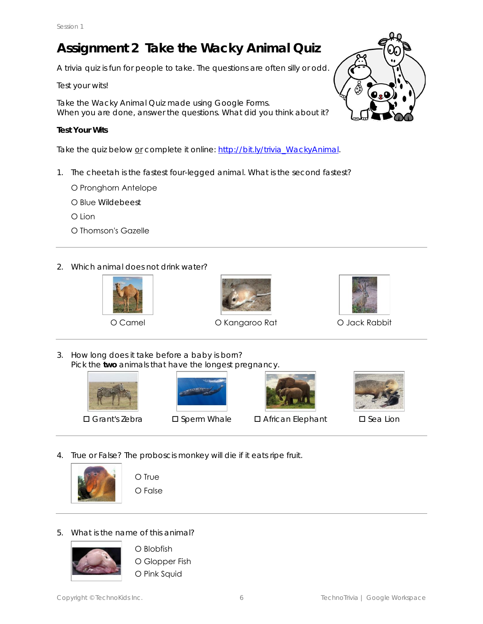# **Assignment 2 Take the Wacky Animal Quiz**

A trivia quiz is fun for people to take. The questions are often silly or odd.

#### Test your wits!

Take the Wacky Animal Quiz made using Google Forms. When you are done, answer the questions. What did you think about it?

#### **Test Your Wits**

Take the quiz below or complete it online: http://bit.ly/trivia\_WackyAnimal.

- 1. The cheetah is the fastest four-legged animal. What is the second fastest?
	- О Pronghorn Antelope
	- О Blue Wildebeest
	- О Lion
	- О Thomson's Gazelle
- 2. Which animal does not drink water?







O Camel **O Kangaroo Rat O Jack Rabbit** 



3. How long does it take before a baby is born? Pick the **two** animals that have the longest pregnancy.





 $\square$  Grant's Zebra  $\square$  Sperm Whale  $\square$  African Elephant  $\square$  Sea Lion



- 
- 4. True or False? The proboscis monkey will die if it eats ripe fruit.



О True О False

5. What is the name of this animal?



О Blobfish О Glopper Fish О Pink Squid

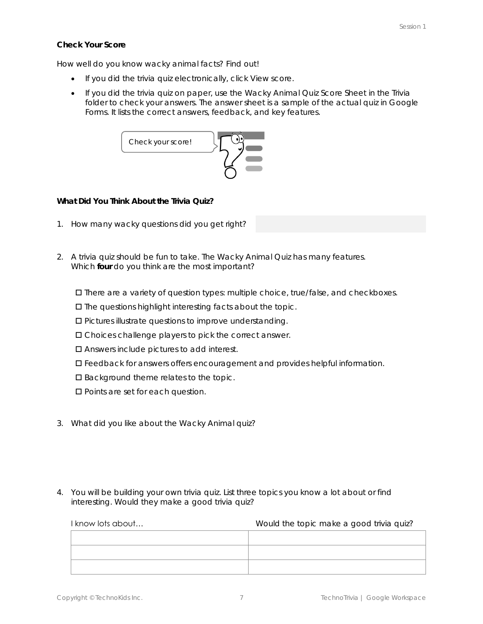**Check Your Score**

How well do you know wacky animal facts? Find out!

- If you did the trivia quiz electronically, click *View score*.
- If you did the trivia quiz on paper, use the *Wacky Animal Quiz Score Sheet* in the Trivia folder to check your answers. The answer sheet is a sample of the actual quiz in Google Forms. It lists the correct answers, feedback, and key features.



**What Did You Think About the Trivia Quiz?**

- 1. How many wacky questions did you get right?
- 2. A trivia quiz should be fun to take. The Wacky Animal Quiz has many features. Which **four** do you think are the most important?

There are a variety of question types: multiple choice, true/false, and checkboxes.

 $\square$  The questions highlight interesting facts about the topic.

- Pictures illustrate questions to improve understanding.
- Choices challenge players to pick the correct answer.
- □ Answers include pictures to add interest.
- Feedback for answers offers encouragement and provides helpful information.
- $\square$  Background theme relates to the topic.
- □ Points are set for each question.
- 3. What did you like about the Wacky Animal quiz?
- 4. You will be building your own trivia quiz. List three topics you know a lot about or find interesting. Would they make a good trivia quiz?

| I know lots about | Would the topic make a good trivia quiz? |
|-------------------|------------------------------------------|
|                   |                                          |
|                   |                                          |
|                   |                                          |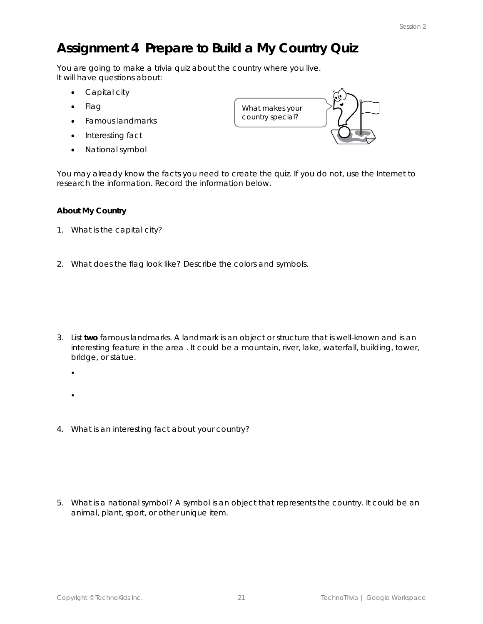# **Assignment 4 Prepare to Build a My Country Quiz**

You are going to make a trivia quiz about the country where you live. It will have questions about:

- Capital city
- Flag
- Famous landmarks
- Interesting fact
- National symbol



You may already know the facts you need to create the quiz. If you do not, use the Internet to research the information. Record the information below.

#### **About My Country**

- 1. What is the capital city?
- 2. What does the flag look like? Describe the colors and symbols.

- 3. List **two** famous landmarks. A landmark is an object or structure that is well-known and is an interesting feature in the area . It could be a mountain, river, lake, waterfall, building, tower, bridge, or statue.
	- $\bullet$
	- $\bullet$
- 4. What is an interesting fact about your country?

5. What is a national symbol? A symbol is an object that represents the country. It could be an animal, plant, sport, or other unique item.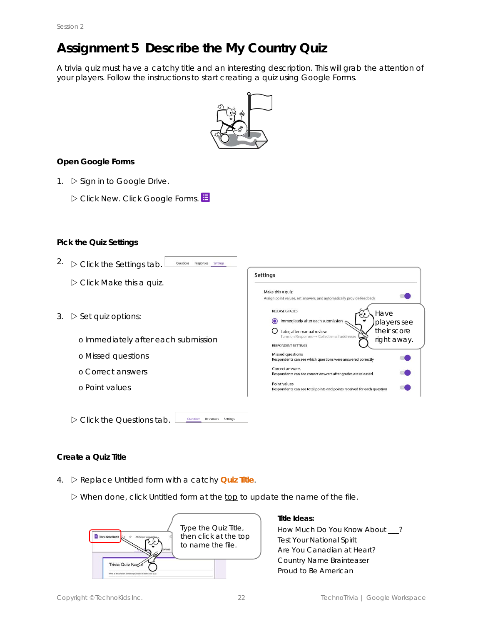## **Assignment 5 Describe the My Country Quiz**

A trivia quiz must have a catchy title and an interesting description. This will grab the attention of your players. Follow the instructions to start creating a quiz using Google Forms.



**Open Google Forms**

- 1.  $\triangleright$  Sign in to Google Drive.
	- Click *New*. Click *Google Forms*.

#### **Pick the Quiz Settings**

| 2. | $\triangleright$ Click the Settings tab.<br>Responses<br>Settings               |                                                                                                                                         |
|----|---------------------------------------------------------------------------------|-----------------------------------------------------------------------------------------------------------------------------------------|
|    | $\triangleright$ Click Make this a quiz.                                        | <b>Settings</b>                                                                                                                         |
|    |                                                                                 | Make this a quiz<br>Assign point values, set answers, and automatically provide feedback                                                |
| 3. | $\triangleright$ Set quiz options:                                              | <b>RELEASE GRADES</b><br>Have<br>Immediately after each submission<br>players see                                                       |
|    | o Immediately after each submission                                             | their score<br>Later, after manual review<br>Turns on Responses -> Collect email addresses<br>right away.<br><b>RESPONDENT SETTINGS</b> |
|    | o Missed questions                                                              | Missed questions<br>Respondents can see which questions were answered correctly                                                         |
|    | o Correct answers                                                               | Correct answers<br>Respondents can see correct answers after grades are released                                                        |
|    | o Point values                                                                  | Point values<br>Respondents can see total points and points received for each question                                                  |
|    |                                                                                 |                                                                                                                                         |
|    | $\triangleright$ Click the Questions tab.<br>Questions<br>Responses<br>Settings |                                                                                                                                         |

#### **Create a Quiz Title**

4.  $\triangleright$  Replace Untitled form with a catchy *Quiz Title*.

When done, click *Untitled form* at the top to update the name of the file.



**Title Ideas:** How Much Do You Know About \_\_\_? Test Your National Spirit Are You *Canadian* at Heart? *Country Name* Brainteaser Proud to Be *American*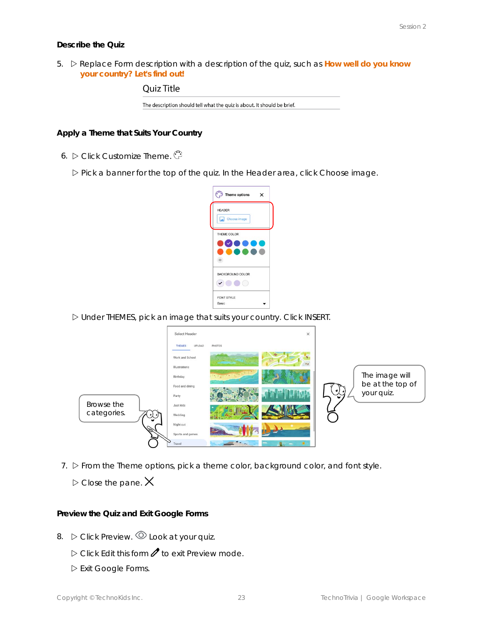#### **Describe the Quiz**

5. Replace *Form description* with a description of the quiz, such as **How well do you know your country? Let's find out!**



**Apply a Theme that Suits Your Country**

6. Click *Customize Theme*.

Pick a banner for the top of the quiz. In the Header area, click *Choose image.*



Under THEMES, pick an image that suits your country. Click *INSERT*.



7.  $\triangleright$  From the *Theme options*, pick a theme color, background color, and font style.

 $\triangleright$  Close the pane.  $\bigtimes$ 

**Preview the Quiz and Exit Google Forms**

- 8.  $\triangleright$  Click Preview.  $\odot$  Look at your quiz.
	- $\triangleright$  Click Edit this form *t* to exit Preview mode.
	- Exit Google Forms.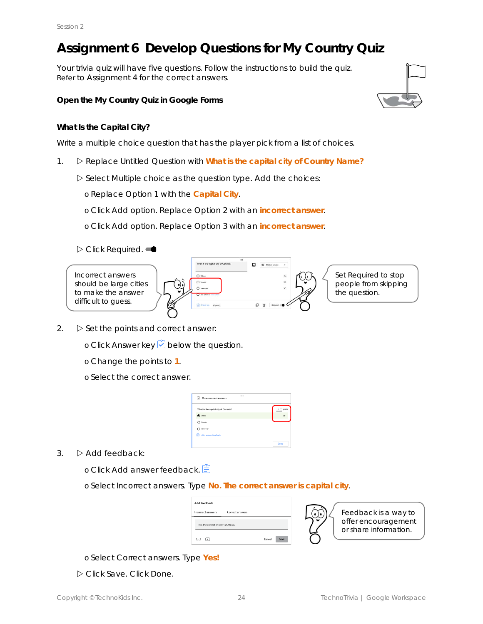# **Assignment 6 Develop Questions for My Country Quiz**

Your trivia quiz will have five questions. Follow the instructions to build the quiz. Refer to Assignment 4 for the correct answers.

**Open the My Country Quiz in Google Forms**

#### **What Is the Capital City?**

Write a multiple choice question that has the player pick from a list of choices.

- 1. Replace *Untitled Question* with **What is the capital city of** *Country Name?*
	- Select *Multiple choice* as the question type. Add the choices:
		- o Replace Option 1 with the *Capital City*.
		- o Click *Add option*. Replace Option 2 with an *incorrect answer*.
		- o Click *Add option*. Replace Option 3 with an *incorrect answer*.





- 2.  $\triangleright$  Set the points and correct answer:
	- **o Click Answer key ○** below the question.
	- o Change the points to **1**.
	- o Select the correct answer.

| <br>Choose correct answers:         |        |
|-------------------------------------|--------|
| What is the capital city of Canada? | points |
| $\circledcirc$ Otisus               |        |
| $\bigcap$ Toronto                   |        |
| Vancouver                           |        |
| Add answer feedback<br>w            |        |
|                                     | Done   |

- $3. \quad$   $\triangleright$  Add feedback:
	- o Click *Add answer feedback*.
	- o Select *Incorrect answers*. Type **No. The correct answer is** *capital city*.

| <b>Add feedback</b>               |                                   |  |
|-----------------------------------|-----------------------------------|--|
|                                   | Incorrect answers Correct answers |  |
| No, the correct answer is Ottawa. |                                   |  |
|                                   |                                   |  |



Feedback is a way to offer encouragement or share information.

- o Select *Correct answers*. Type **Yes!**
- Click *Save*. Click *Done.*

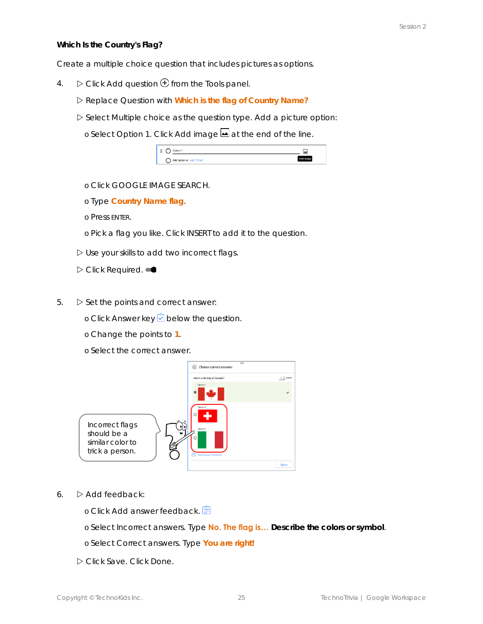**Which Is the Country's Flag?**

Create a multiple choice question that includes pictures as options.

- 4.  $\triangleright$  Click Add question  $\bigoplus$  from the Tools panel.
	- Replace *Question* with **Which is the flag of** *Country Name?*
	- Select *Multiple choice* as the question type. Add a picture option:
		- o Select *Option 1*. Click *Add image* at the end of the line.

| x                         | مەا |
|---------------------------|-----|
| Add option or add "Other" |     |

- o Click *GOOGLE IMAGE SEARCH*.
- o Type *Country Name* **flag**.
- o Press ENTER.
- o Pick a flag you like. Click *INSERT* to add it to the question.
- Use your skills to add two incorrect flags.
- Click *Required*.
- $5. \quad$   $\triangleright$  Set the points and correct answer:
	- o Click *Answer key* below the question.
	- o Change the points to **1**.
	- o Select the correct answer.



- 6.  $\triangleright$  Add feedback:
	- o Click *Add answer feedback*.
	- o Select *Incorrect answers*. Type **No. The flag is… Describe the colors or symbol**.
	- o Select *Correct answers*. Type **You are right!**
	- Click *Save*. Click *Done.*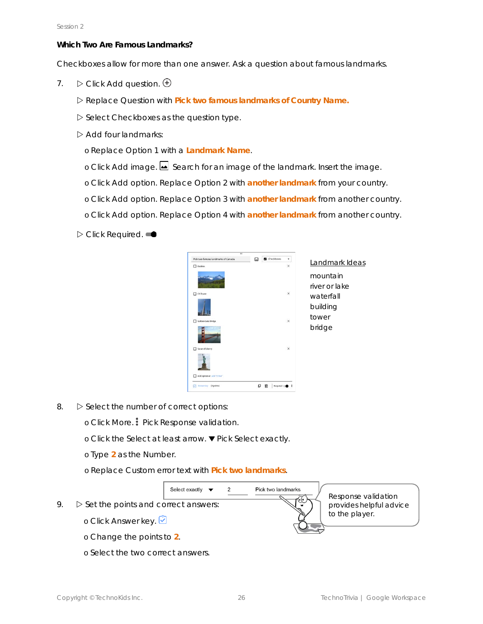**Which Two Are Famous Landmarks?**

Checkboxes allow for more than one answer. Ask a question about famous landmarks.

- 7.  $\triangleright$  Click Add question.  $\oplus$ 
	- Replace *Question* with **Pick two famous landmarks of** *Country Name.*
	- Select *Checkboxes* as the question type.
	- $\triangleright$  Add four landmarks:
		- o Replace Option 1 with a *Landmark Name*.
		- o Click *Add image*.  $\blacksquare$  Search for an image of the landmark. Insert the image.
		- o Click *Add option*. Replace Option 2 with *another landmark* from your country.
		- o Click *Add option*. Replace Option 3 with *another landmark* from *another country*.
		- o Click *Add option*. Replace Option 4 with *another landmark* from *another country*.

Click *Required*.

| m                                   |   |               |          |                |
|-------------------------------------|---|---------------|----------|----------------|
| Pick two famous landmarks of Canada | 口 | Checkboxes    | ۰        | Landmark Ideas |
| Rockies                             |   |               | $\times$ |                |
|                                     |   |               |          | mountain       |
|                                     |   |               |          | river or lake  |
| <b>CN</b> Tower                     |   |               | $\times$ | waterfall      |
|                                     |   |               |          | building       |
|                                     |   |               |          |                |
| Golden Gate Bridge                  |   |               | $\times$ | tower          |
|                                     |   |               |          | bridge         |
| Satue of Liberty                    |   |               | $\times$ |                |
| Add option or add "Other"           |   |               |          |                |
| Answerkey (O points)<br>ю           | o | Required<br>圃 |          |                |

8.  $\triangleright$  Select the number of correct options:

- o Click *More*. Pick *Response validation*.
- o Click the *Select at least* arrow. Pick *Select exactly*.
- o Type **2** as the Number.
- o Replace *Custom error text* with **Pick two landmarks**.



o Select the two correct answers.

Copyright © TechnoKids Inc. 26 TechnoTrivia | Google Workspace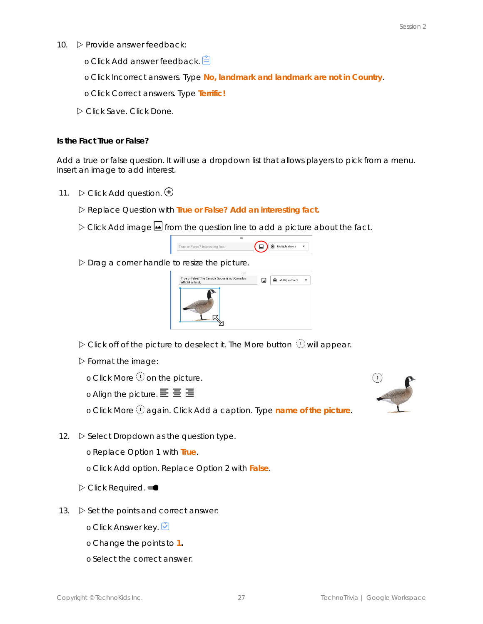- 10. **D** Provide answer feedback:
	- o Click *Add answer feedback*.
	- o Click *Incorrect answers*. Type **No,** *landmark* **and** *landmark* **are not in** *Country*.
	- o Click *Correct answers.* Type **Terrific!**
	- Click *Save*. Click *Done.*

**Is the Fact True or False?**

Add a true or false question. It will use a dropdown list that allows players to pick from a menu. Insert an image to add interest.

- 11.  $\triangleright$  Click Add question.  $\oplus$ 
	- Replace *Question* with **True or False?** *Add an interesting fact.*
	- Click *Add image* from the question line to add a picture about the fact.



 $D$  Drag a corner handle to resize the picture.



- $\triangleright$  Click off of the picture to deselect it. The *More* button  $\mathbb O$  will appear.
- $\triangleright$  Format the image:

o Click More  $\overline{\mathbb{O}}$  on the picture.

o Align the picture.  $\equiv \equiv \equiv$ 

o Click *More* again. Click *Add a caption*. Type *name of the picture*.

12.  $\triangleright$  **Select Dropdown as the question type.** 

o Replace Option 1 with **True**.

o Click *Add option*. Replace Option 2 with **False**.

- Click *Required*.
- 13.  $\triangleright$  Set the points and correct answer:
	- o Click *Answer key*.
	- o Change the points to **1.**
	- o Select the correct answer.

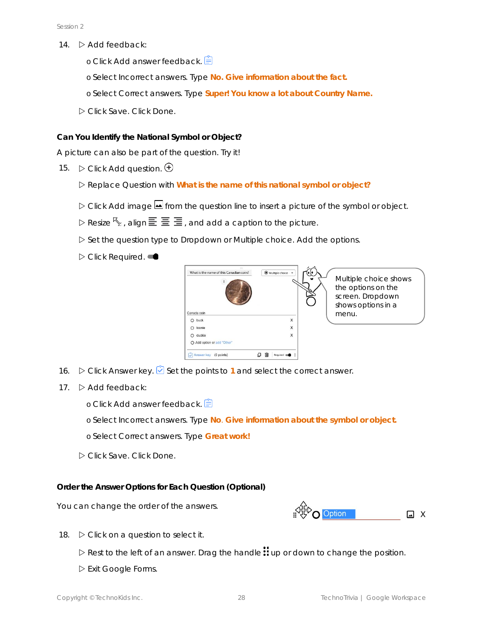- 14.  $\triangleright$  Add feedback:
	- o Click *Add answer feedback*.
	- o Select *Incorrect answers*. Type **No.** *Give information about the fact.*
	- o Select *Correct answers*. Type **Super! You know a lot about** *Country Name.*
	- Click *Save*. Click *Done*.

**Can You Identify the National Symbol or Object?**

A picture can also be part of the question. Try it!

- 15.  $\triangleright$  Click Add question.  $\bigoplus$ 
	- Replace *Question* with **What is the name of this national symbol or object?**
	- Click *Add image* from the question line to insert a picture of the symbol or object.
	- $\triangleright$  Resize  $\mathcal{F}_{\Delta}$ , align  $\Xi \equiv \Xi$ , and add a caption to the picture.
	- Set the question type to *Dropdown* or *Multiple choice*. Add the options.
	- **D** Click Required. ●



- 16.  $\triangleright$  Click Answer key.  $\bigcirc$  Set the points to 1 and select the correct answer.
- 17.  $\triangleright$  Add feedback:
	- o Click *Add answer feedback*.
	- o Select *Incorrect answers*. Type **No**. *Give information about the symbol or object.*
	- o Select *Correct answers*. Type **Great work!**
	- Click *Save*. Click *Done*.

**Order the Answer Options for Each Question (Optional)**

You can change the order of the answers.



- 18.  $\triangleright$  Click on a question to select it.
	- $\triangleright$  Rest to the left of an answer. Drag the handle  $\ddot{::}$  up or down to change the position.
	- Exit Google Forms.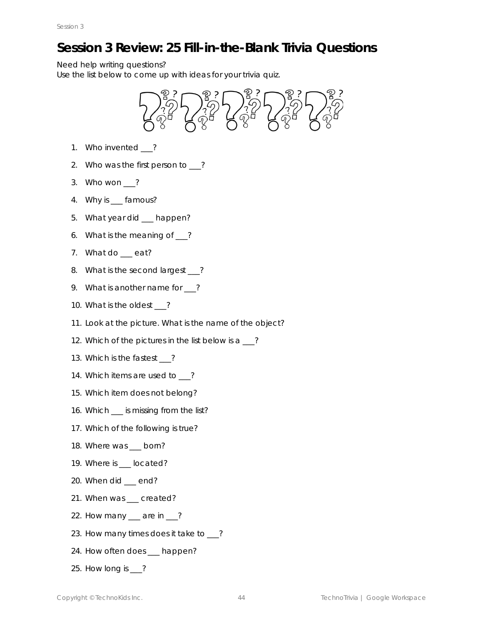# **Session 3 Review: 25 Fill-in-the-Blank Trivia Questions**

Need help writing questions?

Use the list below to come up with ideas for your trivia quiz.



- 1. Who invented \_\_\_?
- 2. Who was the first person to \_\_?
- 3. Who won \_\_\_?
- 4. Why is famous?
- 5. What year did happen?
- 6. What is the meaning of \_\_\_?
- 7. What do \_\_\_ eat?
- 8. What is the second largest ?
- 9. What is another name for \_\_?
- 10. What is the oldest \_\_\_?
- 11. Look at the picture. What is the name of the object?
- 12. Which of the pictures in the list below is a \_\_\_?
- 13. Which is the fastest \_\_\_?
- 14. Which items are used to \_\_\_?
- 15. Which item does not belong?
- 16. Which \_\_\_ is missing from the list?
- 17. Which of the following is true?
- 18. Where was \_\_\_ born?
- 19. Where is \_\_\_ located?
- 20. When did \_\_\_ end?
- 21. When was \_\_\_ created?
- 22. How many <u>quare in 2</u>?
- 23. How many times does it take to \_\_?
- 24. How often does happen?
- 25. How long is ?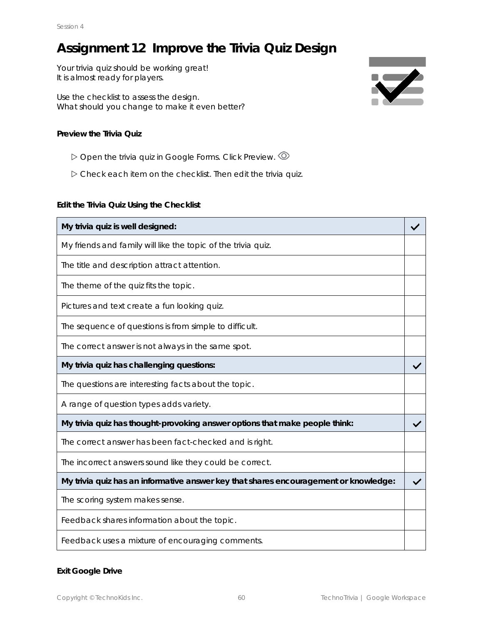## **Assignment 12 Improve the Trivia Quiz Design**

Your trivia quiz should be working great! It is *almost* ready for players.

Use the checklist to assess the design. What should you change to make it *even better?*

**Preview the Trivia Quiz**

- Open the trivia quiz in Google Forms. Click *Preview*.
- Check each item on the checklist. Then edit the trivia quiz.

**Edit the Trivia Quiz Using the Checklist**

| My trivia quiz is well designed:                                                     |  |
|--------------------------------------------------------------------------------------|--|
| My friends and family will like the topic of the trivia quiz.                        |  |
| The title and description attract attention.                                         |  |
| The theme of the quiz fits the topic.                                                |  |
| Pictures and text create a fun looking quiz.                                         |  |
| The sequence of questions is from simple to difficult.                               |  |
| The correct answer is not always in the same spot.                                   |  |
| My trivia quiz has challenging questions:                                            |  |
| The questions are interesting facts about the topic.                                 |  |
| A range of question types adds variety.                                              |  |
| My trivia quiz has thought-provoking answer options that make people think:          |  |
| The correct answer has been fact-checked and is right.                               |  |
| The incorrect answers sound like they could be correct.                              |  |
| My trivia quiz has an informative answer key that shares encouragement or knowledge: |  |
| The scoring system makes sense.                                                      |  |
| Feedback shares information about the topic.                                         |  |
| Feedback uses a mixture of encouraging comments.                                     |  |

**Exit Google Drive**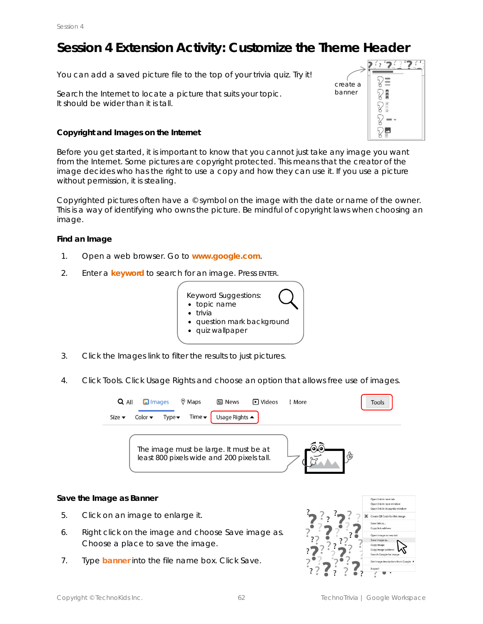## **Session 4 Extension Activity: Customize the Theme Header**

You can add a saved picture file to the top of your trivia quiz. Try it!

Search the Internet to locate a picture that suits your topic. It should be wider than it is tall.

**Copyright and Images on the Internet**

 $\frac{2}{3}$  $2^t$  $\equiv$ Y create a bannerP 目目目 P **TTTK** P P ⊡

Before you get started, it is important to know that you cannot just take any image you want from the Internet. Some pictures are *copyright* protected. This means that the creator of the image decides who has the *right* to use a *copy* and how they can use it. If you use a picture without permission, it is stealing.

Copyrighted pictures often have a  $\circ$  symbol on the image with the date or name of the owner. This is a way of identifying who owns the picture. Be mindful of copyright laws when choosing an image.

**Find an Image**

- 1. Open a web browser. Go to **www.google.com**.
- 2. Enter a *keyword* to search for an image. Press ENTER.



- 3. Click the *Images* link to filter the results to just pictures.
- 4. Click *Tools*. Click *Usage Rights* and choose an option that allows free use of images.



**Save the Image as Banner**

- 5. Click on an image to enlarge it.
- 6. Right click on the image and choose *Save image as*. Choose a place to save the image.
- 7. Type **banner** into the file name box. Click *Save*.

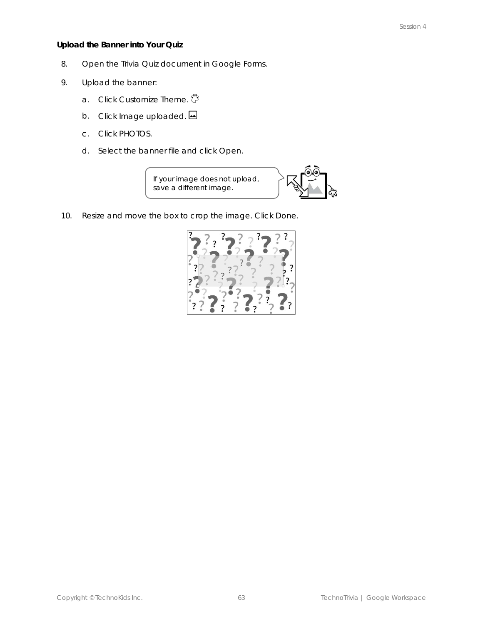**Upload the Banner into Your Quiz**

- 8. Open the *Trivia Quiz* document in Google Forms.
- 9. Upload the banner:
	- a. Click *Customize Theme*.
	- b. Click *Image uploaded.*
	- c. Click *PHOTOS*.
	- d. Select the *banner* file and click *Open*.

If your image does not upload, save a different image.



10. Resize and move the box to crop the image. Click *Done*.